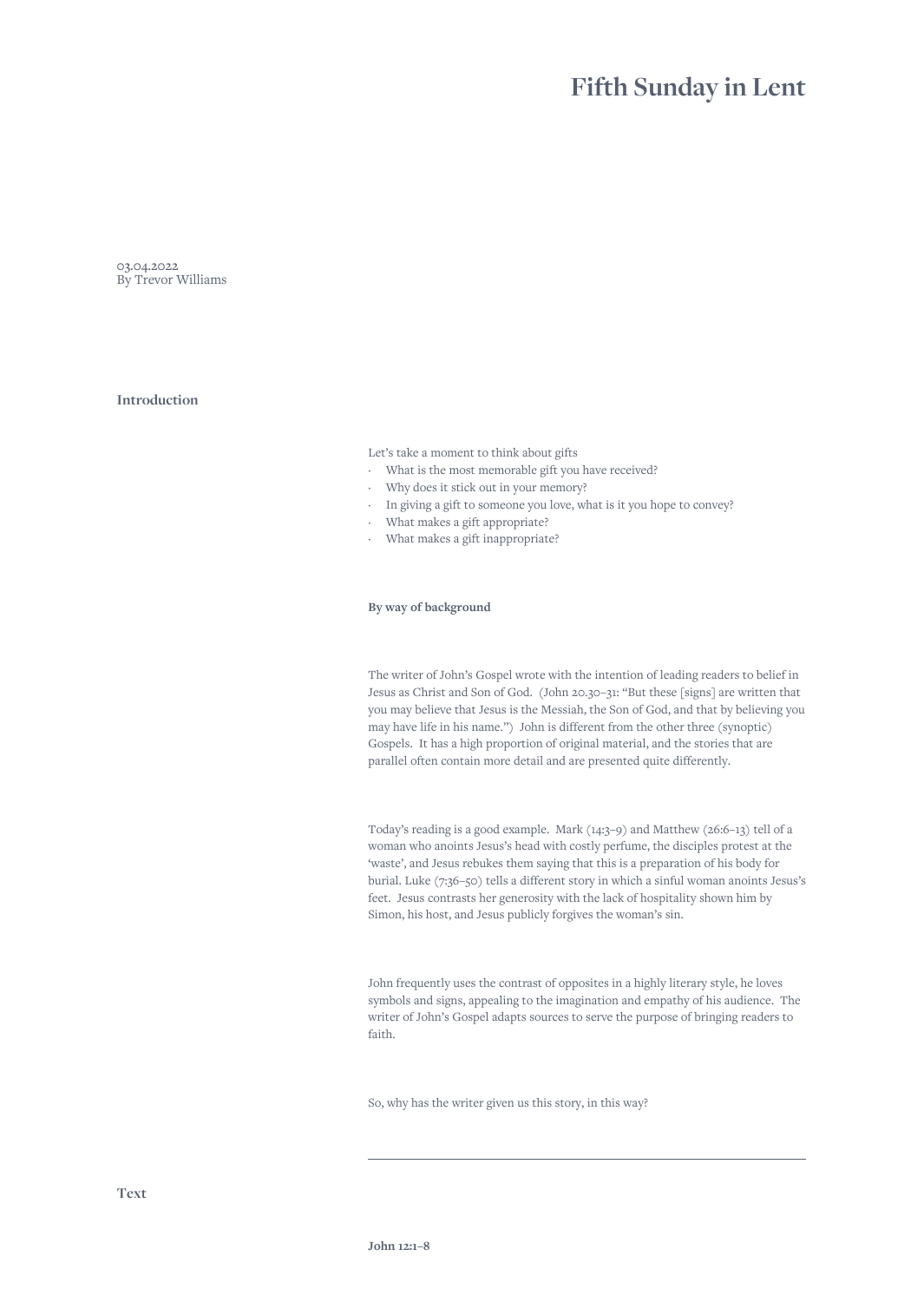# **Fifth Sunday in Lent**

03.04.2022 By Trevor Williams

# **Introduction**

Let's take a moment to think about gifts

- · What is the most memorable gift you have received?
- · Why does it stick out in your memory?
- · In giving a gift to someone you love, what is it you hope to convey?
- What makes a gift appropriate?
- · What makes a gift inappropriate?

### **By way of background**

The writer of John's Gospel wrote with the intention of leading readers to belief in Jesus as Christ and Son of God. (John 20.30–31: "But these [signs] are written that you may believe that Jesus is the Messiah, the Son of God, and that by believing you may have life in his name.") John is different from the other three (synoptic) Gospels. It has a high proportion of original material, and the stories that are parallel often contain more detail and are presented quite differently.

Today's reading is a good example. Mark (14:3–9) and Matthew (26:6–13) tell of a woman who anoints Jesus's head with costly perfume, the disciples protest at the 'waste', and Jesus rebukes them saying that this is a preparation of his body for burial. Luke (7:36–50) tells a different story in which a sinful woman anoints Jesus's feet. Jesus contrasts her generosity with the lack of hospitality shown him by Simon, his host, and Jesus publicly forgives the woman's sin.

John frequently uses the contrast of opposites in a highly literary style, he loves symbols and signs, appealing to the imagination and empathy of his audience. The writer of John's Gospel adapts sources to serve the purpose of bringing readers to faith.

So, why has the writer given us this story, in this way?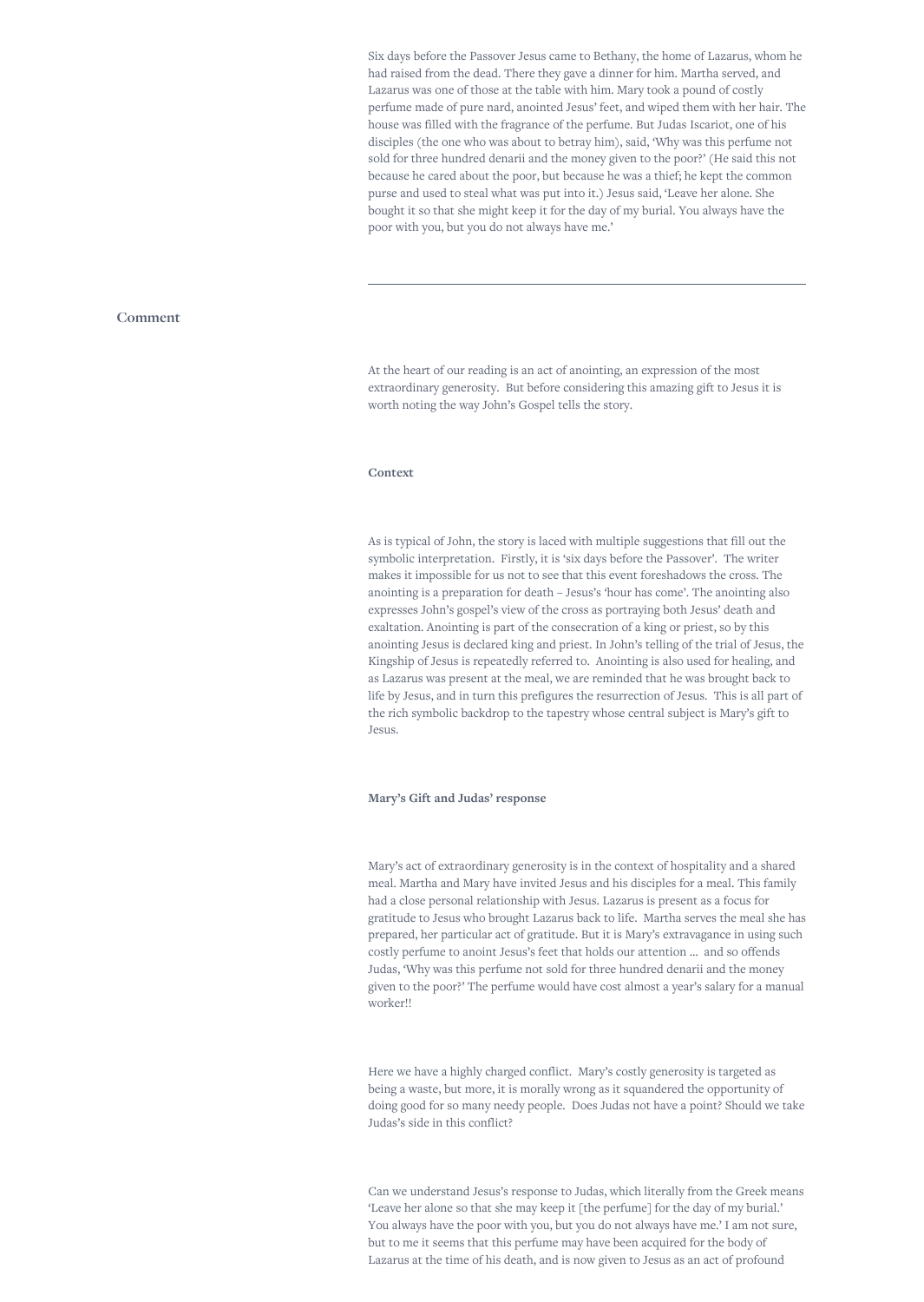Six days before the Passover Jesus came to Bethany, the home of Lazarus, whom he had raised from the dead. There they gave a dinner for him. Martha served, and Lazarus was one of those at the table with him. Mary took a pound of costly perfume made of pure nard, anointed Jesus' feet, and wiped them with her hair. The house was filled with the fragrance of the perfume. But Judas Iscariot, one of his disciples (the one who was about to betray him), said, 'Why was this perfume not sold for three hundred denarii and the money given to the poor?' (He said this not because he cared about the poor, but because he was a thief; he kept the common purse and used to steal what was put into it.) Jesus said, 'Leave her alone. She bought it so that she might keep it for the day of my burial. You always have the poor with you, but you do not always have me.'

## **Comment**

At the heart of our reading is an act of anointing, an expression of the most extraordinary generosity. But before considering this amazing gift to Jesus it is worth noting the way John's Gospel tells the story.

## **Context**

As is typical of John, the story is laced with multiple suggestions that fill out the symbolic interpretation. Firstly, it is 'six days before the Passover'. The writer makes it impossible for us not to see that this event foreshadows the cross. The anointing is a preparation for death – Jesus's 'hour has come'. The anointing also expresses John's gospel's view of the cross as portraying both Jesus' death and exaltation. Anointing is part of the consecration of a king or priest, so by this anointing Jesus is declared king and priest. In John's telling of the trial of Jesus, the Kingship of Jesus is repeatedly referred to. Anointing is also used for healing, and as Lazarus was present at the meal, we are reminded that he was brought back to life by Jesus, and in turn this prefigures the resurrection of Jesus. This is all part of the rich symbolic backdrop to the tapestry whose central subject is Mary's gift to Jesus.

#### **Mary's Gift and Judas' response**

Mary's act of extraordinary generosity is in the context of hospitality and a shared meal. Martha and Mary have invited Jesus and his disciples for a meal. This family had a close personal relationship with Jesus. Lazarus is present as a focus for gratitude to Jesus who brought Lazarus back to life. Martha serves the meal she has prepared, her particular act of gratitude. But it is Mary's extravagance in using such costly perfume to anoint Jesus's feet that holds our attention … and so offends Judas, 'Why was this perfume not sold for three hundred denarii and the money given to the poor?' The perfume would have cost almost a year's salary for a manual worker!!

Here we have a highly charged conflict. Mary's costly generosity is targeted as being a waste, but more, it is morally wrong as it squandered the opportunity of doing good for so many needy people. Does Judas not have a point? Should we take Judas's side in this conflict?

Can we understand Jesus's response to Judas, which literally from the Greek means 'Leave her alone so that she may keep it [the perfume] for the day of my burial.' You always have the poor with you, but you do not always have me.' I am not sure, but to me it seems that this perfume may have been acquired for the body of Lazarus at the time of his death, and is now given to Jesus as an act of profound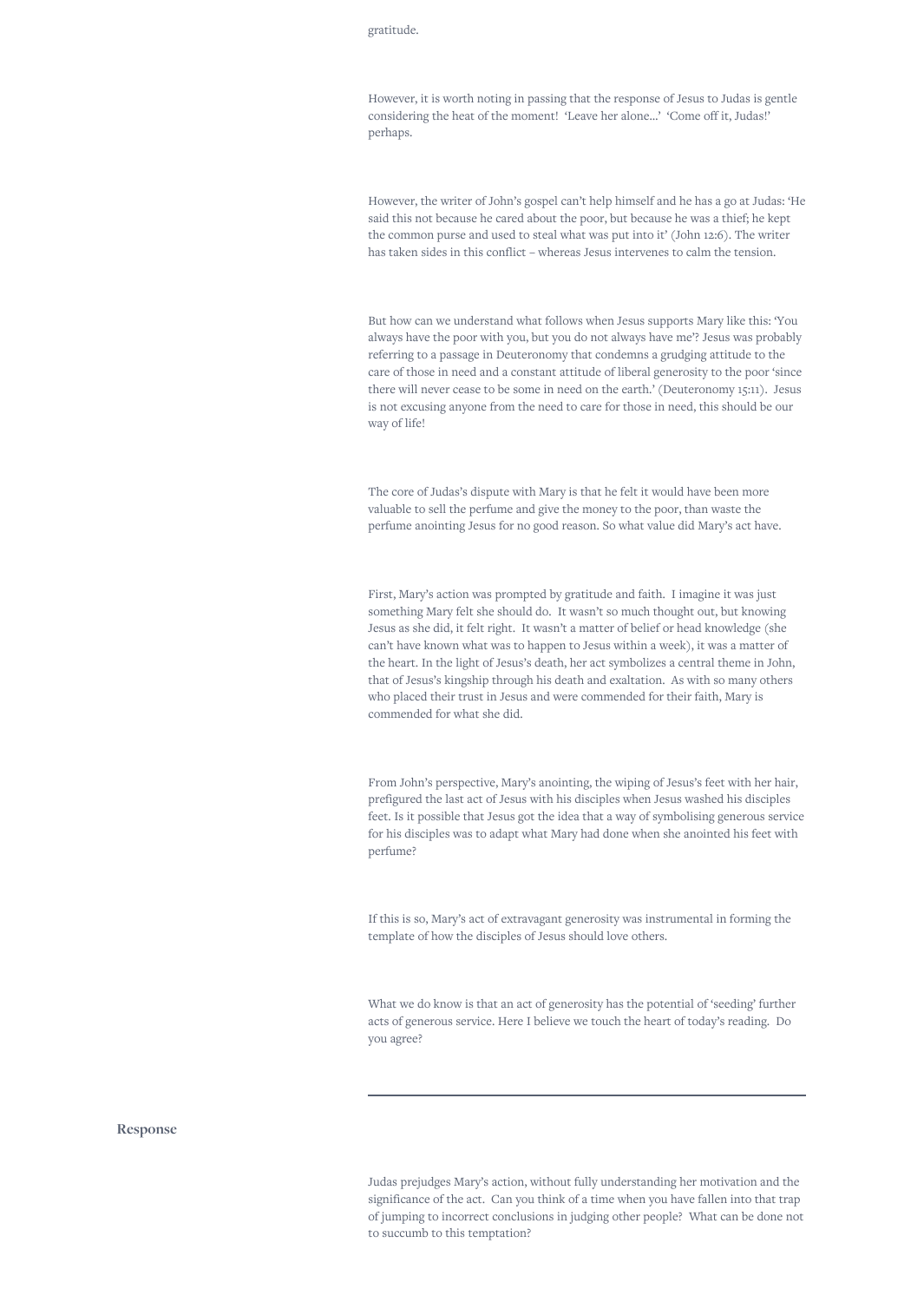#### gratitude.

However, it is worth noting in passing that the response of Jesus to Judas is gentle considering the heat of the moment! 'Leave her alone…' 'Come off it, Judas!' perhaps.

However, the writer of John's gospel can't help himself and he has a go at Judas: 'He said this not because he cared about the poor, but because he was a thief; he kept the common purse and used to steal what was put into it' (John 12:6). The writer has taken sides in this conflict – whereas Jesus intervenes to calm the tension.

But how can we understand what follows when Jesus supports Mary like this: 'You always have the poor with you, but you do not always have me'? Jesus was probably referring to a passage in Deuteronomy that condemns a grudging attitude to the care of those in need and a constant attitude of liberal generosity to the poor 'since there will never cease to be some in need on the earth.' (Deuteronomy 15:11). Jesus is not excusing anyone from the need to care for those in need, this should be our way of life!

The core of Judas's dispute with Mary is that he felt it would have been more valuable to sell the perfume and give the money to the poor, than waste the perfume anointing Jesus for no good reason. So what value did Mary's act have.

First, Mary's action was prompted by gratitude and faith. I imagine it was just something Mary felt she should do. It wasn't so much thought out, but knowing Jesus as she did, it felt right. It wasn't a matter of belief or head knowledge (she can't have known what was to happen to Jesus within a week), it was a matter of the heart. In the light of Jesus's death, her act symbolizes a central theme in John, that of Jesus's kingship through his death and exaltation. As with so many others who placed their trust in Jesus and were commended for their faith, Mary is commended for what she did.

From John's perspective, Mary's anointing, the wiping of Jesus's feet with her hair, prefigured the last act of Jesus with his disciples when Jesus washed his disciples feet. Is it possible that Jesus got the idea that a way of symbolising generous service for his disciples was to adapt what Mary had done when she anointed his feet with perfume?

If this is so, Mary's act of extravagant generosity was instrumental in forming the template of how the disciples of Jesus should love others.

What we do know is that an act of generosity has the potential of 'seeding' further acts of generous service. Here I believe we touch the heart of today's reading. Do you agree?

#### **Response**

Judas prejudges Mary's action, without fully understanding her motivation and the significance of the act. Can you think of a time when you have fallen into that trap of jumping to incorrect conclusions in judging other people? What can be done not to succumb to this temptation?